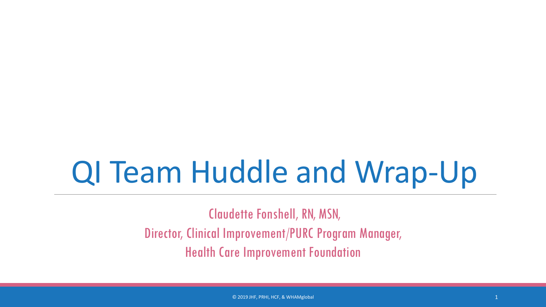## QI Team Huddle and Wrap-Up

Claudette Fonshell, RN, MSN, Director, Clinical Improvement/PURC Program Manager, Health Care Improvement Foundation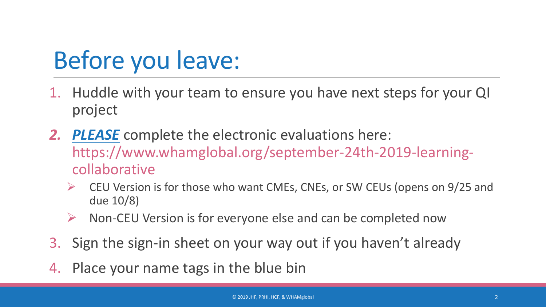## Before you leave:

- 1. Huddle with your team to ensure you have next steps for your QI project
- *2. PLEASE* complete the electronic evaluations here: https://www.whamglobal.org/september-24th-2019-learningcollaborative
	- CEU Version is for those who want CMEs, CNEs, or SW CEUs (opens on 9/25 and due 10/8)
	- Non-CEU Version is for everyone else and can be completed now
- 3. Sign the sign-in sheet on your way out if you haven't already
- 4. Place your name tags in the blue bin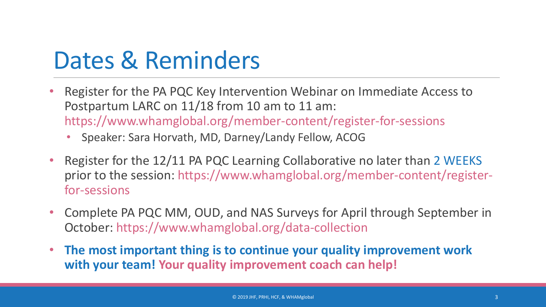## Dates & Reminders

- Register for the PA PQC Key Intervention Webinar on Immediate Access to Postpartum LARC on 11/18 from 10 am to 11 am: https://www.whamglobal.org/member-content/register-for-sessions
	- Speaker: Sara Horvath, MD, Darney/Landy Fellow, ACOG
- Register for the 12/11 PA PQC Learning Collaborative no later than 2 WEEKS prior to the session: https://www.whamglobal.org/member-content/registerfor-sessions
- Complete PA PQC MM, OUD, and NAS Surveys for April through September in October: https://www.whamglobal.org/data-collection
- **The most important thing is to continue your quality improvement work with your team! Your quality improvement coach can help!**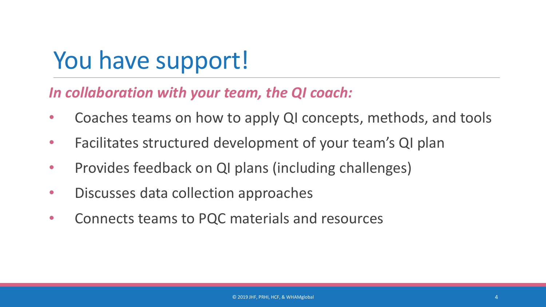## You have support!

*In collaboration with your team, the QI coach:*

- Coaches teams on how to apply QI concepts, methods, and tools
- Facilitates structured development of your team's QI plan
- Provides feedback on QI plans (including challenges)
- Discusses data collection approaches
- Connects teams to PQC materials and resources